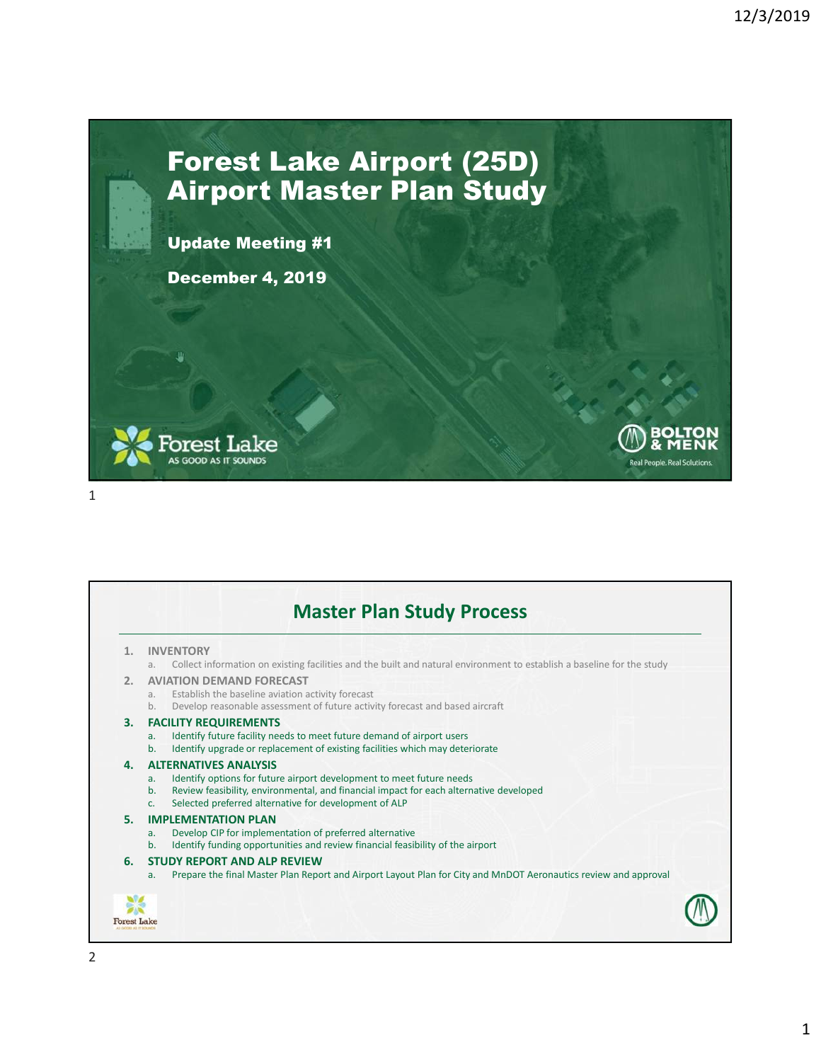Real People Real

## Forest Lake Airport (25D) Airport Master Plan Study

Update Meeting #1

December 4, 2019



**Master Plan Study Process 1. INVENTORY** a. Collect information on existing facilities and the built and natural environment to establish a baseline for the study **2. AVIATION DEMAND FORECAST** a. Establish the baseline aviation activity forecast b. Develop reasonable assessment of future activity forecast and based aircraft **3. FACILITY REQUIREMENTS** a. Identify future facility needs to meet future demand of airport users b. Identify upgrade or replacement of existing facilities which may deteriorate **4. ALTERNATIVES ANALYSIS** a. Identify options for future airport development to meet future needs b. Review feasibility, environmental, and financial impact for each alternative developed c. Selected preferred alternative for development of ALP **5. IMPLEMENTATION PLAN** a. Develop CIP for implementation of preferred alternative b. Identify funding opportunities and review financial feasibility of the airport **6. STUDY REPORT AND ALP REVIEW** a. Prepare the final Master Plan Report and Airport Layout Plan for City and MnDOT Aeronautics review and approval **Forest Lake** 2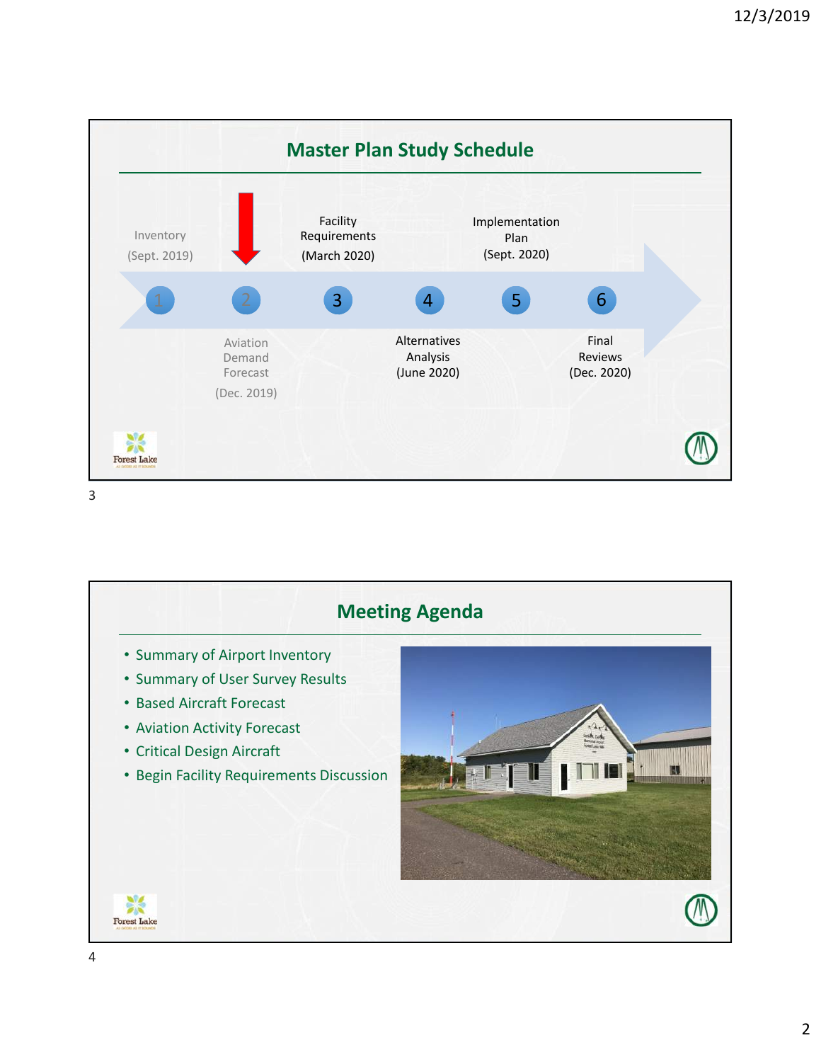

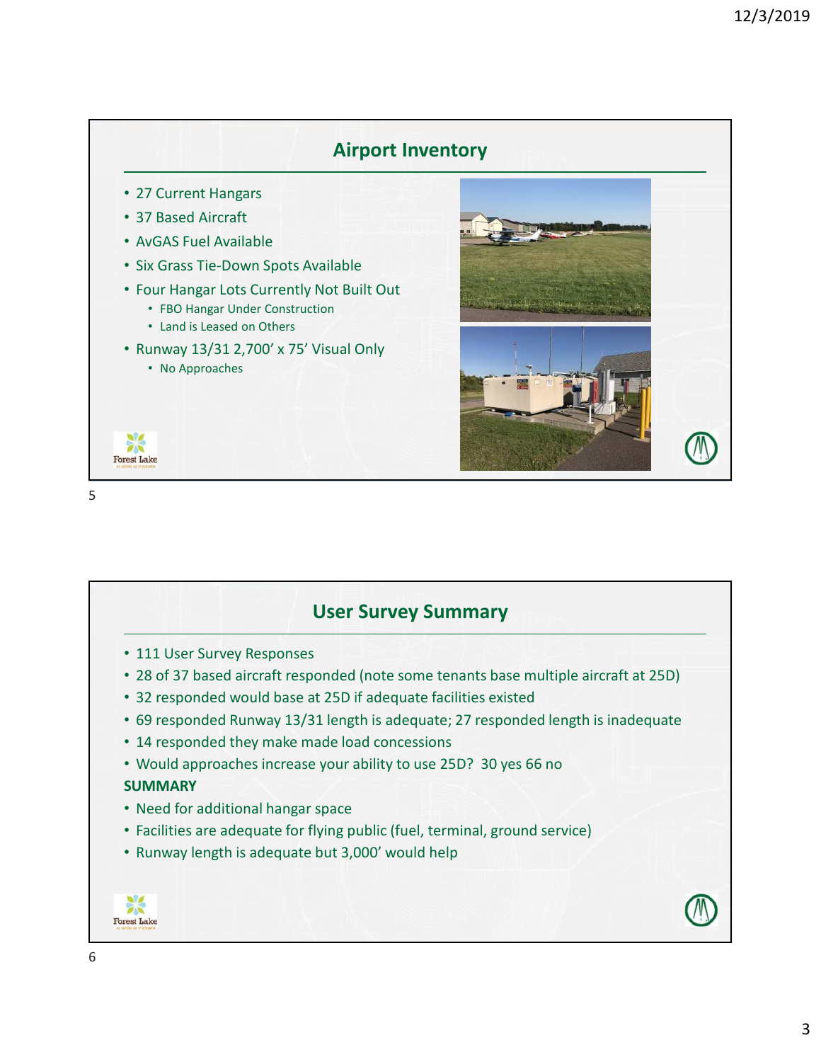

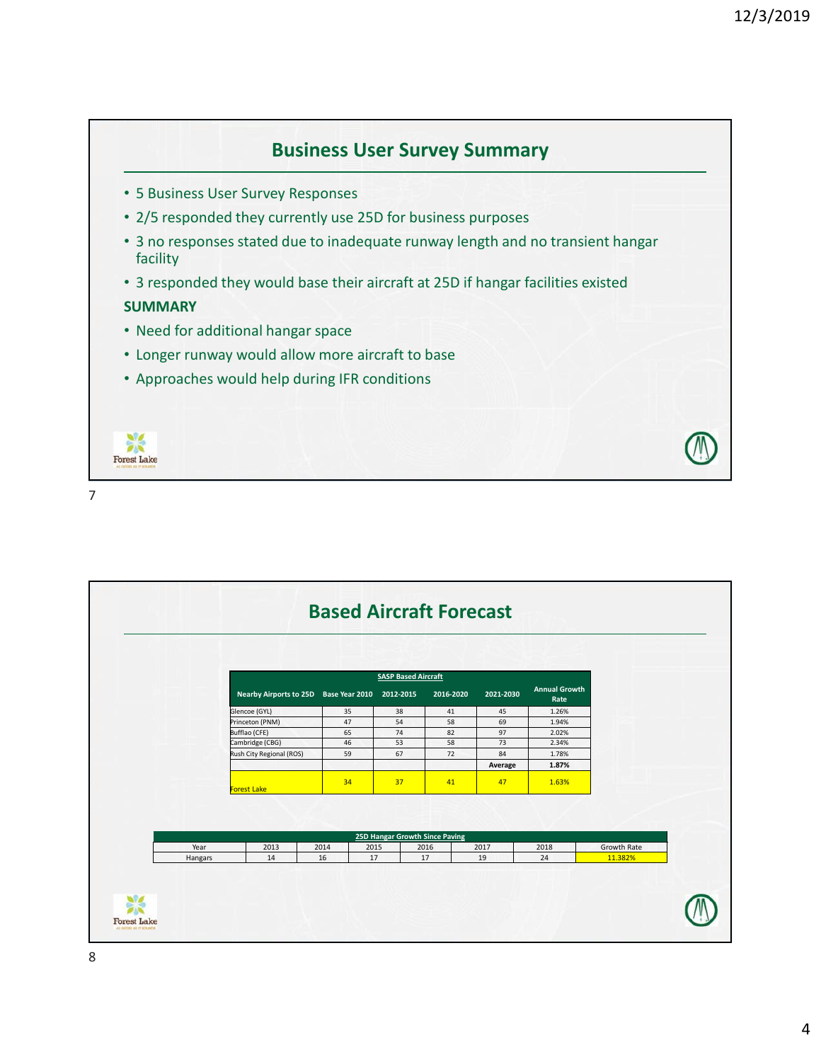

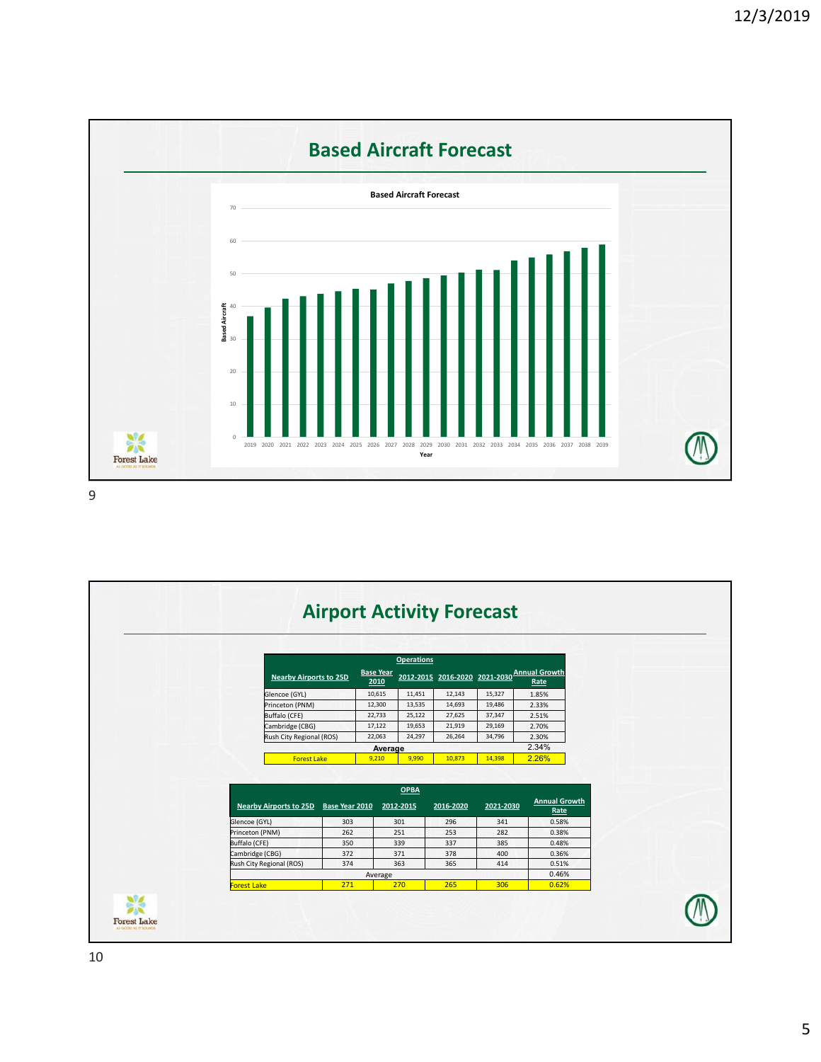

|                 | <b>Nearby Airports to 25D</b> |                | <b>Base Year</b><br>2010 | <b>Operations</b>        |           |           | 2012-2015 2016-2020 2021-2030 Annual Growth<br>Rate |
|-----------------|-------------------------------|----------------|--------------------------|--------------------------|-----------|-----------|-----------------------------------------------------|
|                 | Glencoe (GYL)                 |                | 10,615                   | 11,451                   | 12,143    | 15,327    | 1.85%                                               |
|                 | Princeton (PNM)               |                | 12,300                   | 13,535                   | 14,693    | 19,486    | 2.33%                                               |
|                 | Buffalo (CFE)                 |                | 22,733                   | 25,122                   | 27,625    | 37,347    | 2.51%                                               |
|                 | Cambridge (CBG)               |                | 17,122                   | 19,653                   | 21,919    | 29,169    | 2.70%                                               |
|                 | Rush City Regional (ROS)      |                | 22,063                   | 24,297                   | 26,264    | 34,796    | 2.30%                                               |
|                 |                               |                | Average                  |                          |           |           | 2.34%                                               |
|                 | <b>Forest Lake</b>            |                | 9,210                    | 9,990                    | 10,873    | 14,398    | 2.26%                                               |
|                 | <b>Nearby Airports to 25D</b> | Base Year 2010 |                          | <b>OPBA</b><br>2012-2015 | 2016-2020 | 2021-2030 | <b>Annual Growth</b><br>Rate                        |
| Glencoe (GYL)   |                               | 303            |                          | 301                      | 296       | 341       | 0.58%                                               |
| Princeton (PNM) |                               | 262            |                          | 251                      | 253       | 282       | 0.38%                                               |
| Buffalo (CFE)   |                               | 350            |                          | 339                      | 337       | 385       | 0.48%                                               |
| Cambridge (CBG) |                               | 372            |                          | 371                      | 378       | 400       | 0.36%                                               |
|                 | Rush City Regional (ROS)      | 374            |                          | 363                      | 365       | 414       | 0.51%                                               |
|                 |                               |                | Average                  |                          |           |           | 0.46%                                               |
| Forest Lake     |                               | 271            |                          | 270                      | 265       | 306       | 0.62%                                               |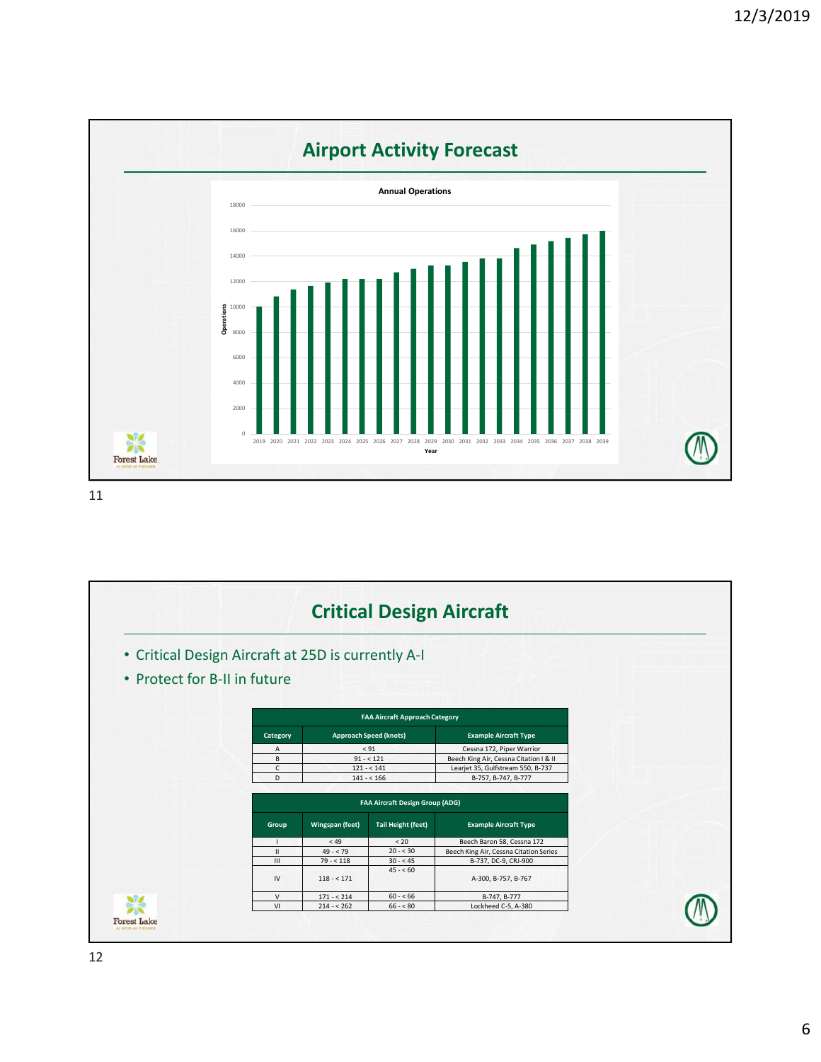

|                                                    |               |                                        |                                       | <b>Critical Design Aircraft</b>        |  |
|----------------------------------------------------|---------------|----------------------------------------|---------------------------------------|----------------------------------------|--|
| • Critical Design Aircraft at 25D is currently A-I |               |                                        |                                       |                                        |  |
| • Protect for B-II in future                       |               |                                        |                                       |                                        |  |
|                                                    |               |                                        | <b>FAA Aircraft Approach Category</b> |                                        |  |
|                                                    | Category      | <b>Approach Speed (knots)</b>          |                                       | <b>Example Aircraft Type</b>           |  |
|                                                    | $\mathsf{A}$  | < 91                                   |                                       | Cessna 172, Piper Warrior              |  |
|                                                    | B             | $91 - 121$                             |                                       | Beech King Air, Cessna Citation I & II |  |
|                                                    | C             | $121 - 141$                            |                                       | Learjet 35, Gulfstream 550, B-737      |  |
|                                                    | D             | $141 - 166$                            |                                       | B-757, B-747, B-777                    |  |
|                                                    |               | <b>FAA Aircraft Design Group (ADG)</b> |                                       |                                        |  |
|                                                    | Group         | Wingspan (feet)                        | <b>Tail Height (feet)</b>             | <b>Example Aircraft Type</b>           |  |
|                                                    |               | <49                                    | < 20                                  | Beech Baron 58, Cessna 172             |  |
|                                                    | $\mathbf{II}$ | $49 - 79$                              | $20 - 530$                            | Beech King Air, Cessna Citation Series |  |
|                                                    | III           | $79 - 118$                             | $30 - 45$                             | B-737, DC-9, CRJ-900                   |  |
|                                                    | IV            | $118 - 171$                            | $45 - 60$                             | A-300, B-757, B-767                    |  |
|                                                    | $\vee$        | $171 - 214$                            | $60 - 66$                             | B-747, B-777                           |  |
|                                                    | VI            | $214 - 262$<br>$66 - 80$               |                                       | Lockheed C-5, A-380                    |  |
|                                                    |               |                                        |                                       |                                        |  |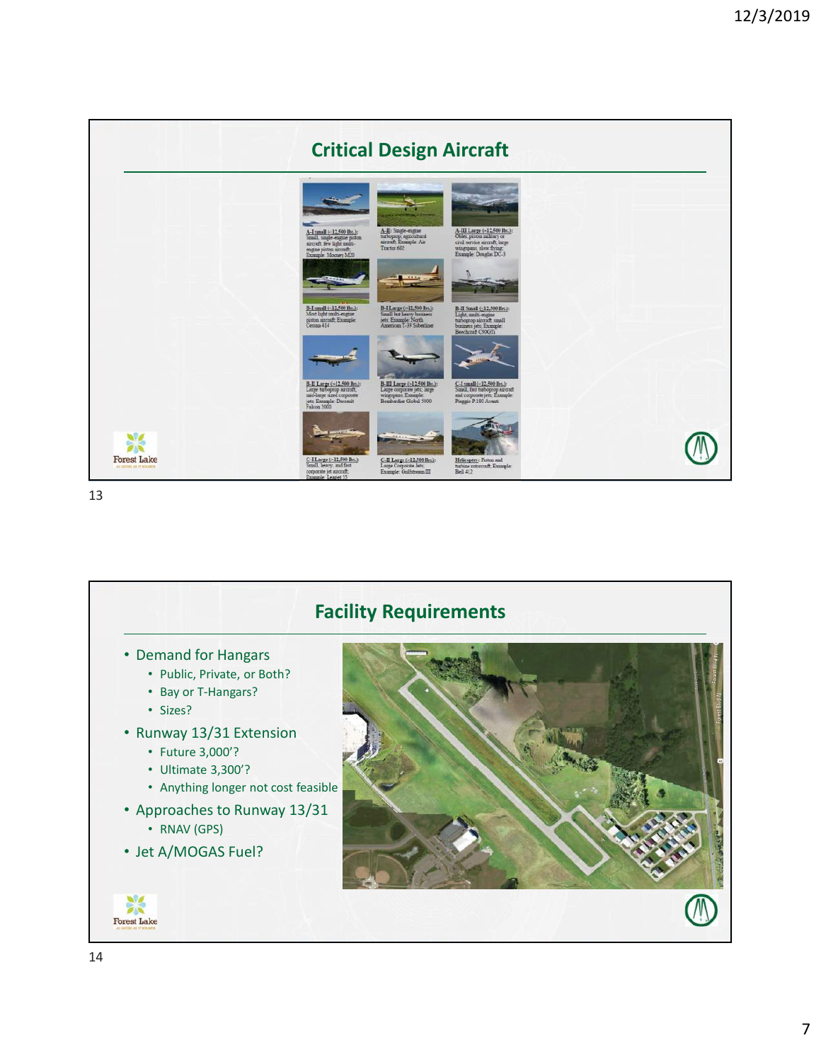